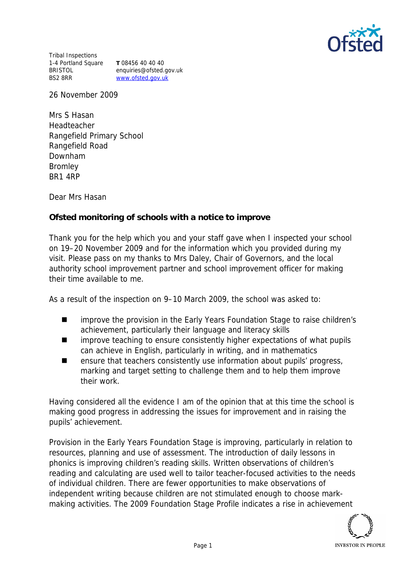

Tribal Inspections 1-4 Portland Square **T** 08456 40 40 40 BRISTOL BS2 8RR

enquiries@ofsted.gov.uk www.ofsted.gov.uk

26 November 2009

Mrs S Hasan Headteacher Rangefield Primary School Rangefield Road Downham Bromley BR1 4RP

Dear Mrs Hasan

**Ofsted monitoring of schools with a notice to improve**

Thank you for the help which you and your staff gave when I inspected your school on 19–20 November 2009 and for the information which you provided during my visit. Please pass on my thanks to Mrs Daley, Chair of Governors, and the local authority school improvement partner and school improvement officer for making their time available to me.

As a result of the inspection on 9–10 March 2009, the school was asked to:

- improve the provision in the Early Years Foundation Stage to raise children's achievement, particularly their language and literacy skills
- improve teaching to ensure consistently higher expectations of what pupils can achieve in English, particularly in writing, and in mathematics
- $\blacksquare$  ensure that teachers consistently use information about pupils' progress, marking and target setting to challenge them and to help them improve their work.

Having considered all the evidence I am of the opinion that at this time the school is making good progress in addressing the issues for improvement and in raising the pupils' achievement.

Provision in the Early Years Foundation Stage is improving, particularly in relation to resources, planning and use of assessment. The introduction of daily lessons in phonics is improving children's reading skills. Written observations of children's reading and calculating are used well to tailor teacher-focused activities to the needs of individual children. There are fewer opportunities to make observations of independent writing because children are not stimulated enough to choose markmaking activities. The 2009 Foundation Stage Profile indicates a rise in achievement